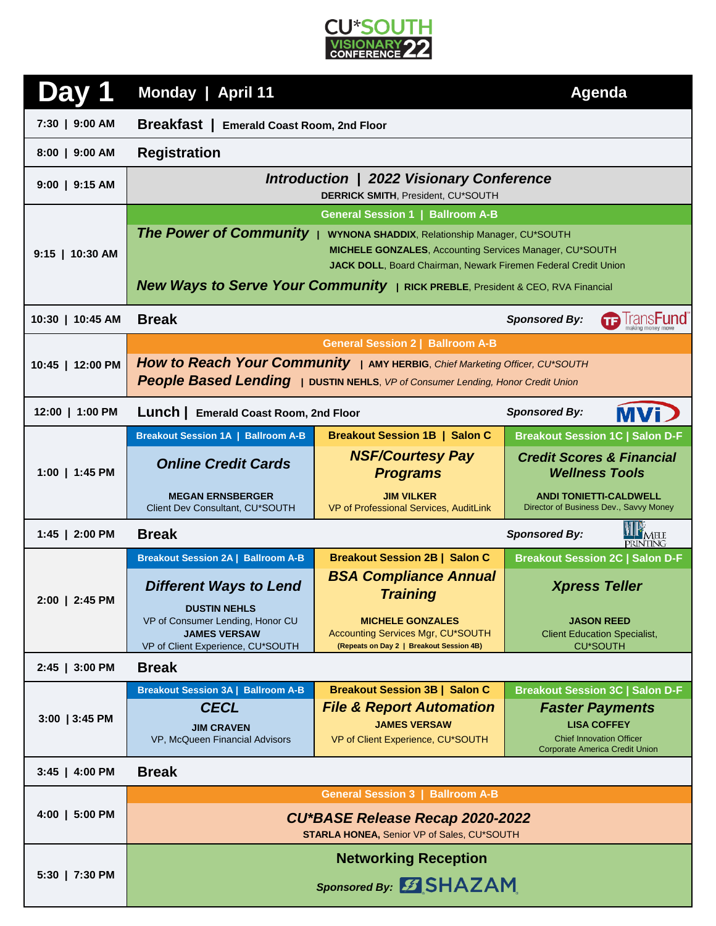

|                  | Monday   April 11                                                                                                                                                                                                                                                                                                   | <b>Agenda</b>                                                                                            |                                                                             |  |  |
|------------------|---------------------------------------------------------------------------------------------------------------------------------------------------------------------------------------------------------------------------------------------------------------------------------------------------------------------|----------------------------------------------------------------------------------------------------------|-----------------------------------------------------------------------------|--|--|
| 7:30   9:00 AM   | <b>Breakfast</b>   Emerald Coast Room, 2nd Floor                                                                                                                                                                                                                                                                    |                                                                                                          |                                                                             |  |  |
| 8:00   9:00 AM   | <b>Registration</b>                                                                                                                                                                                                                                                                                                 |                                                                                                          |                                                                             |  |  |
| $9:00$   9:15 AM | Introduction   2022 Visionary Conference<br><b>DERRICK SMITH, President, CU*SOUTH</b>                                                                                                                                                                                                                               |                                                                                                          |                                                                             |  |  |
|                  | <b>General Session 1   Ballroom A-B</b>                                                                                                                                                                                                                                                                             |                                                                                                          |                                                                             |  |  |
| 9:15   10:30 AM  | <b>The Power of Community</b><br><b>WYNONA SHADDIX, Relationship Manager, CU*SOUTH</b><br><b>MICHELE GONZALES, Accounting Services Manager, CU*SOUTH</b><br>JACK DOLL, Board Chairman, Newark Firemen Federal Credit Union<br><b>New Ways to Serve Your Community</b>   RICK PREBLE, President & CEO, RVA Financial |                                                                                                          |                                                                             |  |  |
| 10:30   10:45 AM | <b>Break</b><br><b>Sponsored By:</b>                                                                                                                                                                                                                                                                                |                                                                                                          |                                                                             |  |  |
|                  |                                                                                                                                                                                                                                                                                                                     | <b>General Session 2   Ballroom A-B</b>                                                                  |                                                                             |  |  |
| 10:45   12:00 PM | How to Reach Your Community   AMY HERBIG, Chief Marketing Officer, CU*SOUTH<br>People Based Lending   DUSTIN NEHLS, VP of Consumer Lending, Honor Credit Union                                                                                                                                                      |                                                                                                          |                                                                             |  |  |
| 12:00   1:00 PM  | Lunch   Emerald Coast Room, 2nd Floor                                                                                                                                                                                                                                                                               |                                                                                                          | MVi D<br><b>Sponsored By:</b>                                               |  |  |
|                  | <b>Breakout Session 1A   Ballroom A-B</b>                                                                                                                                                                                                                                                                           | <b>Breakout Session 1B   Salon C</b>                                                                     | <b>Breakout Session 1C   Salon D-F</b>                                      |  |  |
| 1:00   1:45 PM   | <b>Online Credit Cards</b>                                                                                                                                                                                                                                                                                          | <b>NSF/Courtesy Pay</b><br><b>Programs</b>                                                               | <b>Credit Scores &amp; Financial</b><br><b>Wellness Tools</b>               |  |  |
|                  | <b>MEGAN ERNSBERGER</b><br>Client Dev Consultant, CU*SOUTH                                                                                                                                                                                                                                                          | <b>JIM VILKER</b><br>VP of Professional Services, AuditLink                                              | <b>ANDI TONIETTI-CALDWELL</b><br>Director of Business Dev., Savvy Money     |  |  |
| 1:45   2:00 PM   | IPMELE<br><b>Break</b><br><b>Sponsored By:</b><br><b>PRINTING</b>                                                                                                                                                                                                                                                   |                                                                                                          |                                                                             |  |  |
|                  | <b>Breakout Session 2A   Ballroom A-B</b>                                                                                                                                                                                                                                                                           | <b>Breakout Session 2B   Salon C</b>                                                                     | <b>Breakout Session 2C   Salon D-F</b>                                      |  |  |
| 2:00   2:45 PM   | <b>Different Ways to Lend</b><br><b>DUSTIN NEHLS</b>                                                                                                                                                                                                                                                                | <b>BSA Compliance Annual</b><br><b>Training</b>                                                          | <b>Xpress Teller</b>                                                        |  |  |
|                  | VP of Consumer Lending, Honor CU<br><b>JAMES VERSAW</b><br>VP of Client Experience, CU*SOUTH                                                                                                                                                                                                                        | <b>MICHELE GONZALES</b><br>Accounting Services Mgr, CU*SOUTH<br>(Repeats on Day 2   Breakout Session 4B) | <b>JASON REED</b><br><b>Client Education Specialist,</b><br><b>CU*SOUTH</b> |  |  |
| 2:45   3:00 PM   | <b>Break</b>                                                                                                                                                                                                                                                                                                        |                                                                                                          |                                                                             |  |  |
| 3:00   3:45 PM   | <b>Breakout Session 3A   Ballroom A-B</b>                                                                                                                                                                                                                                                                           | <b>Breakout Session 3B   Salon C</b>                                                                     | <b>Breakout Session 3C   Salon D-F</b>                                      |  |  |
|                  | <b>CECL</b>                                                                                                                                                                                                                                                                                                         | <b>File &amp; Report Automation</b><br><b>JAMES VERSAW</b>                                               | <b>Faster Payments</b><br><b>LISA COFFEY</b>                                |  |  |
|                  | <b>JIM CRAVEN</b><br>VP, McQueen Financial Advisors                                                                                                                                                                                                                                                                 | VP of Client Experience, CU*SOUTH                                                                        | <b>Chief Innovation Officer</b><br><b>Corporate America Credit Union</b>    |  |  |
| 3:45   4:00 PM   | <b>Break</b>                                                                                                                                                                                                                                                                                                        |                                                                                                          |                                                                             |  |  |
|                  | <b>General Session 3   Ballroom A-B</b>                                                                                                                                                                                                                                                                             |                                                                                                          |                                                                             |  |  |
| $4:00$   5:00 PM | CU*BASE Release Recap 2020-2022<br>STARLA HONEA, Senior VP of Sales, CU*SOUTH                                                                                                                                                                                                                                       |                                                                                                          |                                                                             |  |  |
|                  | <b>Networking Reception</b>                                                                                                                                                                                                                                                                                         |                                                                                                          |                                                                             |  |  |
| 5:30   7:30 PM   | Sponsored By: 5 SHAZAM                                                                                                                                                                                                                                                                                              |                                                                                                          |                                                                             |  |  |